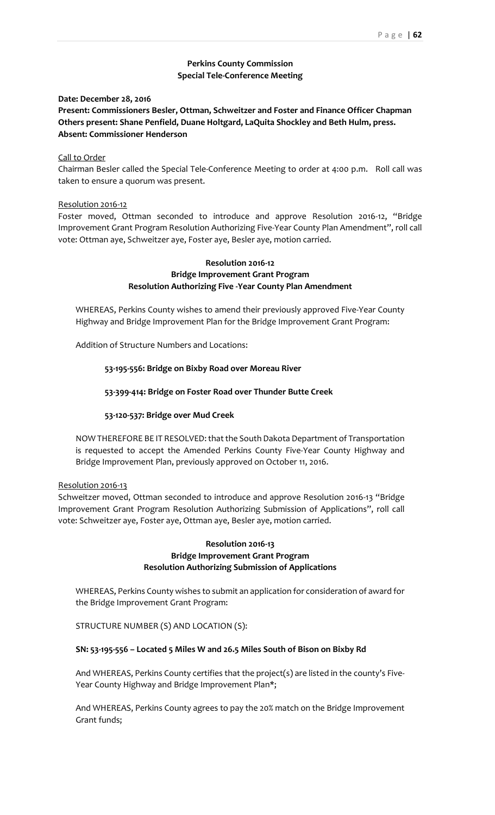# **Perkins County Commission Special Tele‐Conference Meeting**

**Date: December 28, 2016 Present: Commissioners Besler, Ottman, Schweitzer and Foster and Finance Officer Chapman Others present: Shane Penfield, Duane Holtgard, LaQuita Shockley and Beth Hulm, press. Absent: Commissioner Henderson**

Call to Order

Chairman Besler called the Special Tele‐Conference Meeting to order at 4:00 p.m. Roll call was taken to ensure a quorum was present.

## Resolution 2016‐12

Foster moved, Ottman seconded to introduce and approve Resolution 2016‐12, "Bridge Improvement Grant Program Resolution Authorizing Five‐Year County Plan Amendment", roll call vote: Ottman aye, Schweitzer aye, Foster aye, Besler aye, motion carried.

# **Resolution 2016‐12 Bridge Improvement Grant Program Resolution Authorizing Five ‐Year County Plan Amendment**

WHEREAS, Perkins County wishes to amend their previously approved Five‐Year County Highway and Bridge Improvement Plan for the Bridge Improvement Grant Program:

Addition of Structure Numbers and Locations:

## **53‐195‐556: Bridge on Bixby Road over Moreau River**

## **53‐399‐414: Bridge on Foster Road over Thunder Butte Creek**

# **53‐120‐537: Bridge over Mud Creek**

NOW THEREFORE BE IT RESOLVED: that the South Dakota Department of Transportation is requested to accept the Amended Perkins County Five‐Year County Highway and Bridge Improvement Plan, previously approved on October 11, 2016.

## Resolution 2016‐13

Schweitzer moved, Ottman seconded to introduce and approve Resolution 2016‐13 "Bridge Improvement Grant Program Resolution Authorizing Submission of Applications", roll call vote: Schweitzer aye, Foster aye, Ottman aye, Besler aye, motion carried.

# **Resolution 2016‐13 Bridge Improvement Grant Program Resolution Authorizing Submission of Applications**

WHEREAS, Perkins County wishes to submit an application for consideration of award for the Bridge Improvement Grant Program:

STRUCTURE NUMBER (S) AND LOCATION (S):

### **SN: 53‐195‐556 – Located 5 Miles W and 26.5 Miles South of Bison on Bixby Rd**

And WHEREAS, Perkins County certifies that the project(s) are listed in the county's Five‐ Year County Highway and Bridge Improvement Plan\*;

And WHEREAS, Perkins County agrees to pay the 20% match on the Bridge Improvement Grant funds;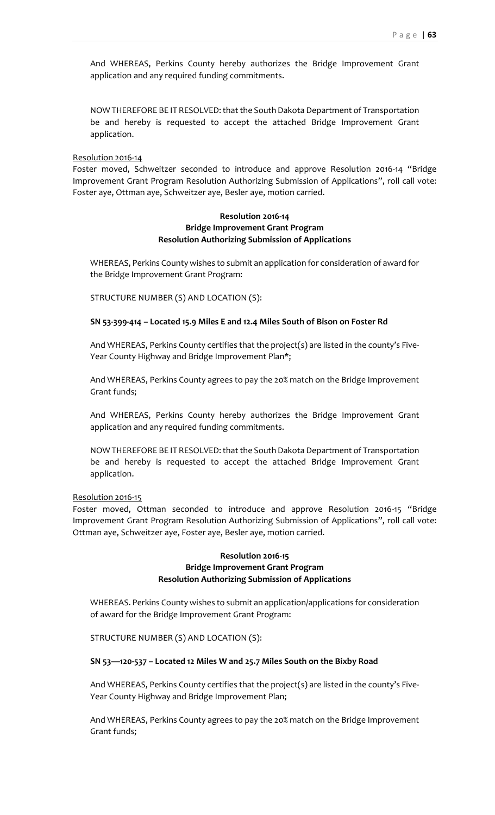And WHEREAS, Perkins County hereby authorizes the Bridge Improvement Grant application and any required funding commitments.

NOW THEREFORE BE IT RESOLVED: that the South Dakota Department of Transportation be and hereby is requested to accept the attached Bridge Improvement Grant application.

#### Resolution 2016‐14

Foster moved, Schweitzer seconded to introduce and approve Resolution 2016‐14 "Bridge Improvement Grant Program Resolution Authorizing Submission of Applications", roll call vote: Foster aye, Ottman aye, Schweitzer aye, Besler aye, motion carried.

# **Resolution 2016‐14 Bridge Improvement Grant Program Resolution Authorizing Submission of Applications**

WHEREAS, Perkins County wishes to submit an application for consideration of award for the Bridge Improvement Grant Program:

STRUCTURE NUMBER (S) AND LOCATION (S):

## **SN 53‐399‐414 – Located 15.9 Miles E and 12.4 Miles South of Bison on Foster Rd**

And WHEREAS, Perkins County certifies that the project(s) are listed in the county's Five‐ Year County Highway and Bridge Improvement Plan\*;

And WHEREAS, Perkins County agrees to pay the 20% match on the Bridge Improvement Grant funds;

And WHEREAS, Perkins County hereby authorizes the Bridge Improvement Grant application and any required funding commitments.

NOW THEREFORE BE IT RESOLVED: that the South Dakota Department of Transportation be and hereby is requested to accept the attached Bridge Improvement Grant application.

### Resolution 2016‐15

Foster moved, Ottman seconded to introduce and approve Resolution 2016‐15 "Bridge Improvement Grant Program Resolution Authorizing Submission of Applications", roll call vote: Ottman aye, Schweitzer aye, Foster aye, Besler aye, motion carried.

# **Resolution 2016‐15 Bridge Improvement Grant Program Resolution Authorizing Submission of Applications**

WHEREAS. Perkins County wishes to submit an application/applications for consideration of award for the Bridge Improvement Grant Program:

STRUCTURE NUMBER (S) AND LOCATION (S):

### **SN 53—120‐537 – Located 12 Miles W and 25.7 Miles South on the Bixby Road**

And WHEREAS, Perkins County certifies that the project(s) are listed in the county's Five‐ Year County Highway and Bridge Improvement Plan;

And WHEREAS, Perkins County agrees to pay the 20% match on the Bridge Improvement Grant funds;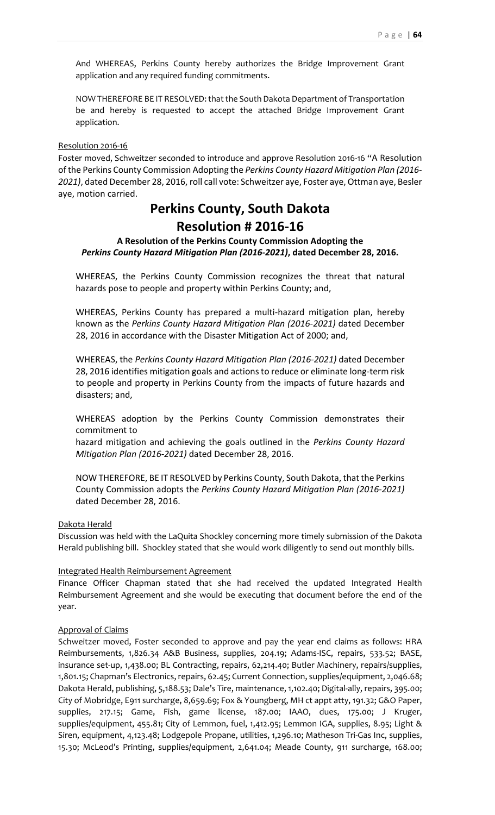And WHEREAS, Perkins County hereby authorizes the Bridge Improvement Grant application and any required funding commitments.

NOW THEREFORE BE IT RESOLVED: that the South Dakota Department of Transportation be and hereby is requested to accept the attached Bridge Improvement Grant application.

#### Resolution 2016‐16

Foster moved, Schweitzer seconded to introduce and approve Resolution 2016‐16 "A Resolution of the Perkins County Commission Adopting the *Perkins County Hazard Mitigation Plan (2016‐* 2021), dated December 28, 2016, roll call vote: Schweitzer aye, Foster aye, Ottman aye, Besler aye, motion carried.

# **Perkins County, South Dakota Resolution # 2016‐16**

# **A Resolution of the Perkins County Commission Adopting the** *Perkins County Hazard Mitigation Plan (2016‐2021)***, dated December 28, 2016.**

WHEREAS, the Perkins County Commission recognizes the threat that natural hazards pose to people and property within Perkins County; and,

WHEREAS, Perkins County has prepared a multi‐hazard mitigation plan, hereby known as the *Perkins County Hazard Mitigation Plan (2016‐2021)* dated December 28, 2016 in accordance with the Disaster Mitigation Act of 2000; and,

WHEREAS, the *Perkins County Hazard Mitigation Plan (2016‐2021)* dated December 28, 2016 identifies mitigation goals and actionsto reduce or eliminate long‐term risk to people and property in Perkins County from the impacts of future hazards and disasters; and,

WHEREAS adoption by the Perkins County Commission demonstrates their commitment to

hazard mitigation and achieving the goals outlined in the *Perkins County Hazard Mitigation Plan (2016‐2021)* dated December 28, 2016.

NOW THEREFORE, BE IT RESOLVED by Perkins County, South Dakota, that the Perkins County Commission adopts the *Perkins County Hazard Mitigation Plan (2016‐2021)* dated December 28, 2016.

#### Dakota Herald

Discussion was held with the LaQuita Shockley concerning more timely submission of the Dakota Herald publishing bill. Shockley stated that she would work diligently to send out monthly bills.

#### Integrated Health Reimbursement Agreement

Finance Officer Chapman stated that she had received the updated Integrated Health Reimbursement Agreement and she would be executing that document before the end of the year.

## Approval of Claims

Schweitzer moved, Foster seconded to approve and pay the year end claims as follows: HRA Reimbursements, 1,826.34 A&B Business, supplies, 204.19; Adams‐ISC, repairs, 533.52; BASE, insurance set-up, 1,438.00; BL Contracting, repairs, 62,214.40; Butler Machinery, repairs/supplies, 1,801.15; Chapman's Electronics, repairs, 62.45; Current Connection, supplies/equipment, 2,046.68; Dakota Herald, publishing, 5,188.53; Dale's Tire, maintenance, 1,102.40; Digital‐ally, repairs, 395.00; City of Mobridge, E911 surcharge, 8,659.69; Fox & Youngberg, MH ct appt atty, 191.32; G&O Paper, supplies, 217.15; Game, Fish, game license, 187.00; IAAO, dues, 175.00; J Kruger, supplies/equipment, 455.81; City of Lemmon, fuel, 1,412.95; Lemmon IGA, supplies, 8.95; Light & Siren, equipment, 4,123.48; Lodgepole Propane, utilities, 1,296.10; Matheson Tri‐Gas Inc, supplies, 15.30; McLeod's Printing, supplies/equipment, 2,641.04; Meade County, 911 surcharge, 168.00;